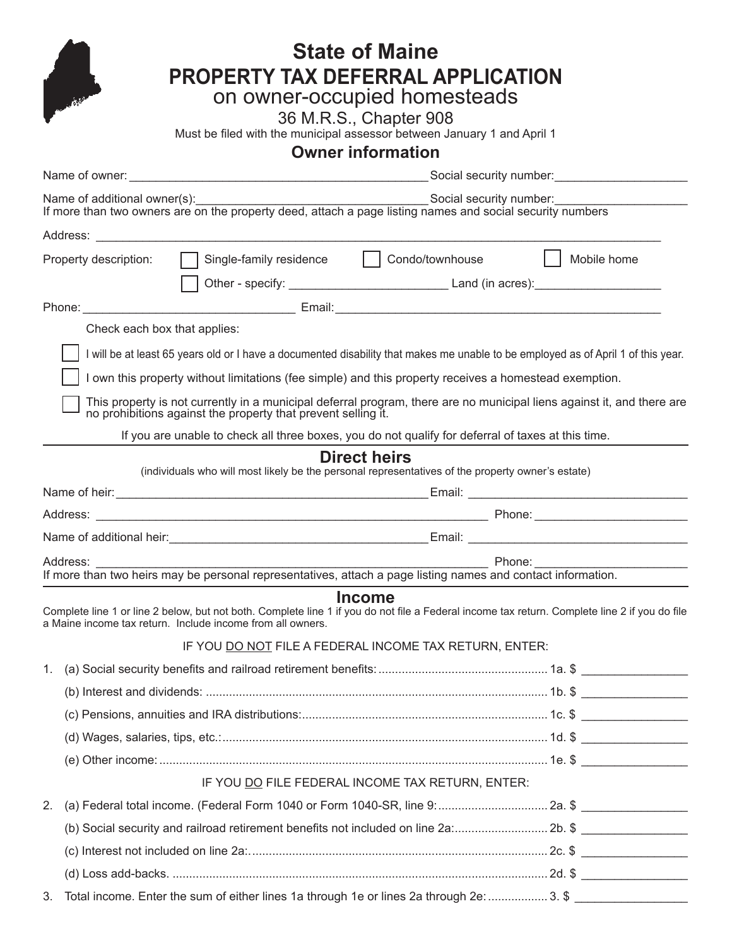| <b>State of Maine</b>                                                   |                                                                                                                                                                                                             |  |  |  |  |  |  |  |  |  |  |
|-------------------------------------------------------------------------|-------------------------------------------------------------------------------------------------------------------------------------------------------------------------------------------------------------|--|--|--|--|--|--|--|--|--|--|
|                                                                         | PROPERTY TAX DEFERRAL APPLICATION                                                                                                                                                                           |  |  |  |  |  |  |  |  |  |  |
|                                                                         | on owner-occupied homesteads                                                                                                                                                                                |  |  |  |  |  |  |  |  |  |  |
|                                                                         | 36 M.R.S., Chapter 908                                                                                                                                                                                      |  |  |  |  |  |  |  |  |  |  |
| Must be filed with the municipal assessor between January 1 and April 1 |                                                                                                                                                                                                             |  |  |  |  |  |  |  |  |  |  |
|                                                                         | <b>Owner information</b>                                                                                                                                                                                    |  |  |  |  |  |  |  |  |  |  |
|                                                                         |                                                                                                                                                                                                             |  |  |  |  |  |  |  |  |  |  |
|                                                                         | Name of additional owner(s):<br>If more than two owners are on the property deed, attach a page listing names and social security numbers                                                                   |  |  |  |  |  |  |  |  |  |  |
|                                                                         |                                                                                                                                                                                                             |  |  |  |  |  |  |  |  |  |  |
|                                                                         | Single-family residence   Condo/townhouse   Mobile home<br>Property description:                                                                                                                            |  |  |  |  |  |  |  |  |  |  |
|                                                                         |                                                                                                                                                                                                             |  |  |  |  |  |  |  |  |  |  |
|                                                                         |                                                                                                                                                                                                             |  |  |  |  |  |  |  |  |  |  |
|                                                                         | Check each box that applies:                                                                                                                                                                                |  |  |  |  |  |  |  |  |  |  |
|                                                                         | I will be at least 65 years old or I have a documented disability that makes me unable to be employed as of April 1 of this year.                                                                           |  |  |  |  |  |  |  |  |  |  |
|                                                                         | I own this property without limitations (fee simple) and this property receives a homestead exemption.                                                                                                      |  |  |  |  |  |  |  |  |  |  |
|                                                                         | This property is not currently in a municipal deferral program, there are no municipal liens against it, and there are<br>no prohibitions against the property that prevent selling it.                     |  |  |  |  |  |  |  |  |  |  |
|                                                                         | If you are unable to check all three boxes, you do not qualify for deferral of taxes at this time.                                                                                                          |  |  |  |  |  |  |  |  |  |  |
|                                                                         | <b>Direct heirs</b>                                                                                                                                                                                         |  |  |  |  |  |  |  |  |  |  |
|                                                                         | (individuals who will most likely be the personal representatives of the property owner's estate)                                                                                                           |  |  |  |  |  |  |  |  |  |  |
|                                                                         |                                                                                                                                                                                                             |  |  |  |  |  |  |  |  |  |  |
|                                                                         |                                                                                                                                                                                                             |  |  |  |  |  |  |  |  |  |  |
|                                                                         |                                                                                                                                                                                                             |  |  |  |  |  |  |  |  |  |  |
|                                                                         | Address: _                                                                                                                                                                                                  |  |  |  |  |  |  |  |  |  |  |
|                                                                         | <b>Income</b>                                                                                                                                                                                               |  |  |  |  |  |  |  |  |  |  |
|                                                                         | Complete line 1 or line 2 below, but not both. Complete line 1 if you do not file a Federal income tax return. Complete line 2 if you do file<br>a Maine income tax return. Include income from all owners. |  |  |  |  |  |  |  |  |  |  |
|                                                                         | IF YOU DO NOT FILE A FEDERAL INCOME TAX RETURN, ENTER:                                                                                                                                                      |  |  |  |  |  |  |  |  |  |  |
| 1.                                                                      |                                                                                                                                                                                                             |  |  |  |  |  |  |  |  |  |  |
|                                                                         |                                                                                                                                                                                                             |  |  |  |  |  |  |  |  |  |  |
|                                                                         |                                                                                                                                                                                                             |  |  |  |  |  |  |  |  |  |  |
|                                                                         |                                                                                                                                                                                                             |  |  |  |  |  |  |  |  |  |  |
|                                                                         |                                                                                                                                                                                                             |  |  |  |  |  |  |  |  |  |  |
|                                                                         | IF YOU DO FILE FEDERAL INCOME TAX RETURN, ENTER:                                                                                                                                                            |  |  |  |  |  |  |  |  |  |  |
| 2.                                                                      |                                                                                                                                                                                                             |  |  |  |  |  |  |  |  |  |  |
|                                                                         | (b) Social security and railroad retirement benefits not included on line 2a: 2b. \$                                                                                                                        |  |  |  |  |  |  |  |  |  |  |
|                                                                         |                                                                                                                                                                                                             |  |  |  |  |  |  |  |  |  |  |
|                                                                         |                                                                                                                                                                                                             |  |  |  |  |  |  |  |  |  |  |
| 3.                                                                      | Total income. Enter the sum of either lines 1a through 1e or lines 2a through 2e:  3. \$                                                                                                                    |  |  |  |  |  |  |  |  |  |  |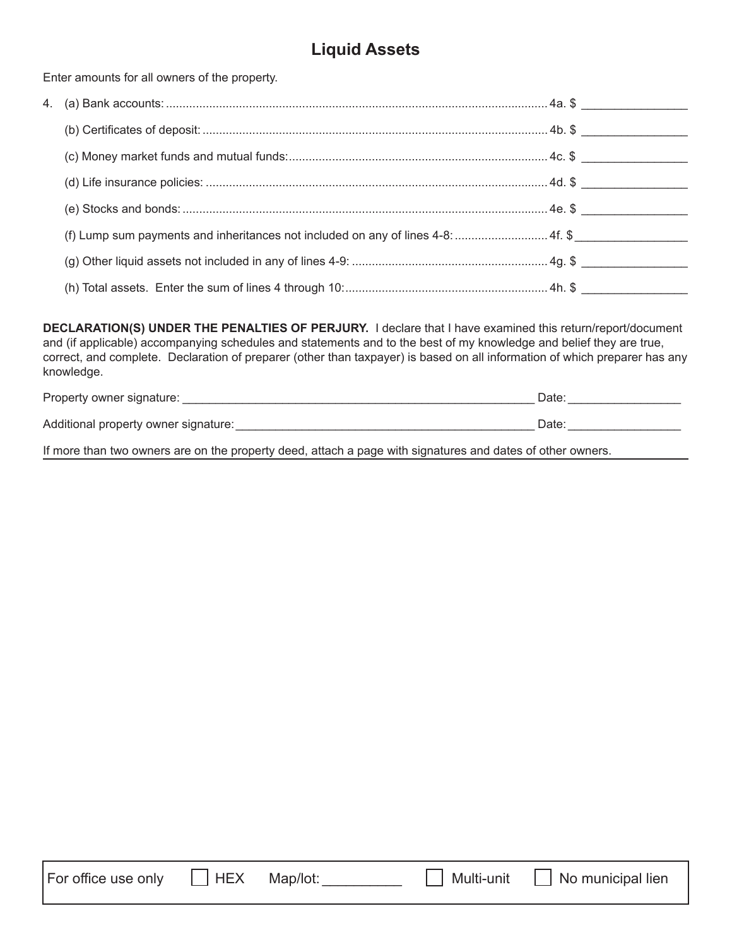# **Liquid Assets**

Enter amounts for all owners of the property.

| (f) Lump sum payments and inheritances not included on any of lines 4-8:  4f. \$ |  |
|----------------------------------------------------------------------------------|--|

**DECLARATION(S) UNDER THE PENALTIES OF PERJURY.** I declare that I have examined this return/report/document and (if applicable) accompanying schedules and statements and to the best of my knowledge and belief they are true, correct, and complete. Declaration of preparer (other than taxpayer) is based on all information of which preparer has any knowledge.

| Property owner signature:            | Date |
|--------------------------------------|------|
| Additional property owner signature: | Date |
|                                      |      |

If more than two owners are on the property deed, attach a page with signatures and dates of other owners.

|  | For office use only |  |
|--|---------------------|--|
|  |                     |  |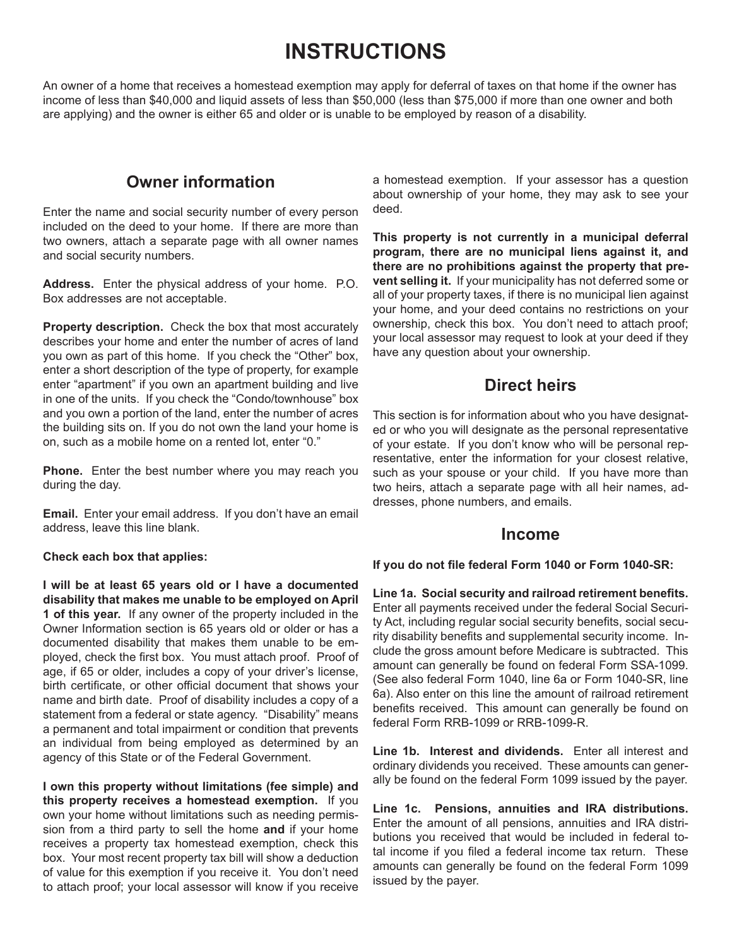# **INSTRUCTIONS**

An owner of a home that receives a homestead exemption may apply for deferral of taxes on that home if the owner has income of less than \$40,000 and liquid assets of less than \$50,000 (less than \$75,000 if more than one owner and both are applying) and the owner is either 65 and older or is unable to be employed by reason of a disability.

# **Owner information**

Enter the name and social security number of every person included on the deed to your home. If there are more than two owners, attach a separate page with all owner names and social security numbers.

**Address.** Enter the physical address of your home. P.O. Box addresses are not acceptable.

**Property description.** Check the box that most accurately describes your home and enter the number of acres of land you own as part of this home. If you check the "Other" box, enter a short description of the type of property, for example enter "apartment" if you own an apartment building and live in one of the units. If you check the "Condo/townhouse" box and you own a portion of the land, enter the number of acres the building sits on. If you do not own the land your home is on, such as a mobile home on a rented lot, enter "0."

**Phone.** Enter the best number where you may reach you during the day.

**Email.** Enter your email address. If you don't have an email address, leave this line blank.

#### **Check each box that applies:**

**I will be at least 65 years old or I have a documented disability that makes me unable to be employed on April 1 of this year.** If any owner of the property included in the Owner Information section is 65 years old or older or has a documented disability that makes them unable to be employed, check the first box. You must attach proof. Proof of age, if 65 or older, includes a copy of your driver's license, birth certificate, or other official document that shows your name and birth date. Proof of disability includes a copy of a statement from a federal or state agency. "Disability" means a permanent and total impairment or condition that prevents an individual from being employed as determined by an agency of this State or of the Federal Government.

**I own this property without limitations (fee simple) and this property receives a homestead exemption.** If you own your home without limitations such as needing permission from a third party to sell the home **and** if your home receives a property tax homestead exemption, check this box. Your most recent property tax bill will show a deduction of value for this exemption if you receive it. You don't need to attach proof; your local assessor will know if you receive

a homestead exemption. If your assessor has a question about ownership of your home, they may ask to see your deed.

**This property is not currently in a municipal deferral program, there are no municipal liens against it, and there are no prohibitions against the property that prevent selling it.** If your municipality has not deferred some or all of your property taxes, if there is no municipal lien against your home, and your deed contains no restrictions on your ownership, check this box. You don't need to attach proof; your local assessor may request to look at your deed if they have any question about your ownership.

## **Direct heirs**

This section is for information about who you have designated or who you will designate as the personal representative of your estate. If you don't know who will be personal representative, enter the information for your closest relative, such as your spouse or your child. If you have more than two heirs, attach a separate page with all heir names, addresses, phone numbers, and emails.

## **Income**

## **If you do not fi le federal Form 1040 or Form 1040-SR:**

**Line 1a. Social security and railroad retirement benefi ts.** Enter all payments received under the federal Social Security Act, including regular social security benefits, social security disability benefits and supplemental security income. Include the gross amount before Medicare is subtracted. This amount can generally be found on federal Form SSA-1099. (See also federal Form 1040, line 6a or Form 1040-SR, line 6a). Also enter on this line the amount of railroad retirement benefits received. This amount can generally be found on federal Form RRB-1099 or RRB-1099-R.

**Line 1b. Interest and dividends.** Enter all interest and ordinary dividends you received. These amounts can generally be found on the federal Form 1099 issued by the payer.

**Line 1c. Pensions, annuities and IRA distributions.**  Enter the amount of all pensions, annuities and IRA distributions you received that would be included in federal total income if you filed a federal income tax return. These amounts can generally be found on the federal Form 1099 issued by the payer.